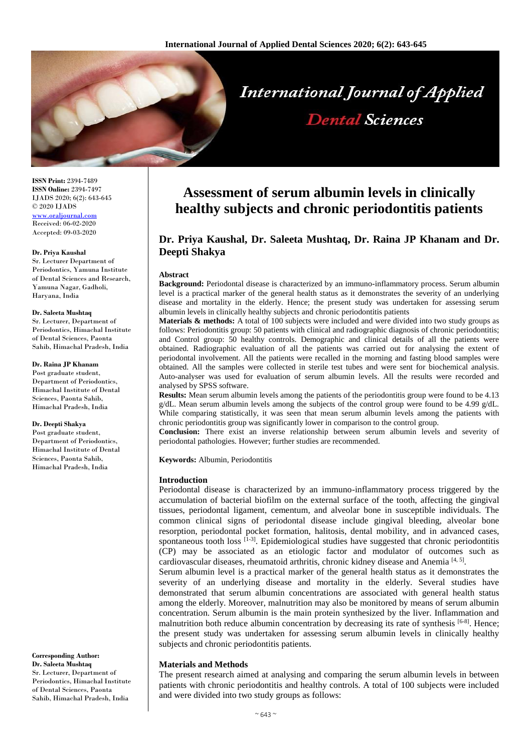

**ISSN Print:** 2394-7489 **ISSN Online:** 2394-7497 IJADS 2020; 6(2): 643-645 © 2020 IJADS [www.oraljournal.com](http://www.oraljournal.com/) Received: 06-02-2020 Accepted: 09-03-2020

#### **Dr. Priya Kaushal**

Sr. Lecturer Department of Periodontics, Yamuna Institute of Dental Sciences and Research, Yamuna Nagar, Gadholi, Haryana, India

#### **Dr. Saleeta Mushtaq**

Sr. Lecturer, Department of Periodontics, Himachal Institute of Dental Sciences, Paonta Sahib, Himachal Pradesh, India

### **Dr. Raina JP Khanam**

Post graduate student, Department of Periodontics, Himachal Institute of Dental Sciences, Paonta Sahib, Himachal Pradesh, India

# **Dr. Deepti Shakya**

Post graduate student, Department of Periodontics, Himachal Institute of Dental Sciences, Paonta Sahib, Himachal Pradesh, India

**Corresponding Author: Dr. Saleeta Mushtaq**

Sr. Lecturer, Department of Periodontics, Himachal Institute of Dental Sciences, Paonta Sahib, Himachal Pradesh, India

# **Assessment of serum albumin levels in clinically healthy subjects and chronic periodontitis patients**

# **Dr. Priya Kaushal, Dr. Saleeta Mushtaq, Dr. Raina JP Khanam and Dr. Deepti Shakya**

#### **Abstract**

**Background:** Periodontal disease is characterized by an immuno-inflammatory process. Serum albumin level is a practical marker of the general health status as it demonstrates the severity of an underlying disease and mortality in the elderly. Hence; the present study was undertaken for assessing serum albumin levels in clinically healthy subjects and chronic periodontitis patients

**Materials & methods:** A total of 100 subjects were included and were divided into two study groups as follows: Periodontitis group: 50 patients with clinical and radiographic diagnosis of chronic periodontitis; and Control group: 50 healthy controls. Demographic and clinical details of all the patients were obtained. Radiographic evaluation of all the patients was carried out for analysing the extent of periodontal involvement. All the patients were recalled in the morning and fasting blood samples were obtained. All the samples were collected in sterile test tubes and were sent for biochemical analysis. Auto-analyser was used for evaluation of serum albumin levels. All the results were recorded and analysed by SPSS software.

Results: Mean serum albumin levels among the patients of the periodontitis group were found to be 4.13  $g/dL$ . Mean serum albumin levels among the subjects of the control group were found to be 4.99  $g/dL$ . While comparing statistically, it was seen that mean serum albumin levels among the patients with chronic periodontitis group was significantly lower in comparison to the control group.

**Conclusion:** There exist an inverse relationship between serum albumin levels and severity of periodontal pathologies. However; further studies are recommended.

**Keywords:** Albumin, Periodontitis

#### **Introduction**

Periodontal disease is characterized by an immuno-inflammatory process triggered by the accumulation of bacterial biofilm on the external surface of the tooth, affecting the gingival tissues, periodontal ligament, cementum, and alveolar bone in susceptible individuals. The common clinical signs of periodontal disease include gingival bleeding, alveolar bone resorption, periodontal pocket formation, halitosis, dental mobility, and in advanced cases, spontaneous tooth  $loss$   $[1-3]$ . Epidemiological studies have suggested that chronic periodontitis (CP) may be associated as an etiologic factor and modulator of outcomes such as cardiovascular diseases, rheumatoid arthritis, chronic kidney disease and Anemia<sup>[4, 5]</sup>.

Serum albumin level is a practical marker of the general health status as it demonstrates the severity of an underlying disease and mortality in the elderly. Several studies have demonstrated that serum albumin concentrations are associated with general health status among the elderly. Moreover, malnutrition may also be monitored by means of serum albumin concentration. Serum albumin is the main protein synthesized by the liver. Inflammation and malnutrition both reduce albumin concentration by decreasing its rate of synthesis [6-8]. Hence; the present study was undertaken for assessing serum albumin levels in clinically healthy subjects and chronic periodontitis patients.

# **Materials and Methods**

The present research aimed at analysing and comparing the serum albumin levels in between patients with chronic periodontitis and healthy controls. A total of 100 subjects were included and were divided into two study groups as follows: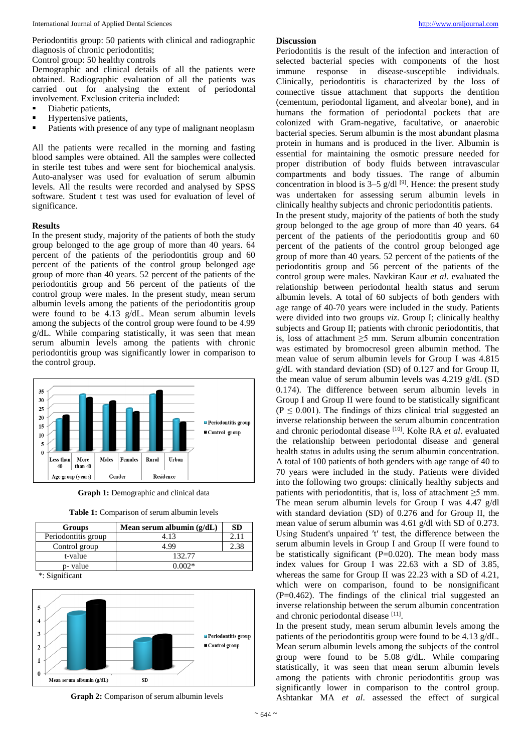Periodontitis group: 50 patients with clinical and radiographic diagnosis of chronic periodontitis;

Control group: 50 healthy controls

Demographic and clinical details of all the patients were obtained. Radiographic evaluation of all the patients was carried out for analysing the extent of periodontal involvement. Exclusion criteria included:

- Diabetic patients,
- Hypertensive patients,
- Patients with presence of any type of malignant neoplasm

All the patients were recalled in the morning and fasting blood samples were obtained. All the samples were collected in sterile test tubes and were sent for biochemical analysis. Auto-analyser was used for evaluation of serum albumin levels. All the results were recorded and analysed by SPSS software. Student t test was used for evaluation of level of significance.

## **Results**

In the present study, majority of the patients of both the study group belonged to the age group of more than 40 years. 64 percent of the patients of the periodontitis group and 60 percent of the patients of the control group belonged age group of more than 40 years. 52 percent of the patients of the periodontitis group and 56 percent of the patients of the control group were males. In the present study, mean serum albumin levels among the patients of the periodontitis group were found to be 4.13 g/dL. Mean serum albumin levels among the subjects of the control group were found to be 4.99 g/dL. While comparing statistically, it was seen that mean serum albumin levels among the patients with chronic periodontitis group was significantly lower in comparison to the control group.



**Graph 1:** Demographic and clinical data

| <b>Groups</b>       | Mean serum albumin $(g/dL)$ | <b>SD</b> |
|---------------------|-----------------------------|-----------|
| Periodontitis group | 4.13                        | 2.11      |
| Control group       | 4.99                        | 2.38      |
| t-value             | 132.77                      |           |
| p- value            | $0.002*$                    |           |
| *: Significant      |                             |           |





**Graph 2:** Comparison of serum albumin levels

# **Discussion**

Periodontitis is the result of the infection and interaction of selected bacterial species with components of the host immune response in disease-susceptible individuals. Clinically, periodontitis is characterized by the loss of connective tissue attachment that supports the dentition (cementum, periodontal ligament, and alveolar bone), and in humans the formation of periodontal pockets that are colonized with Gram-negative, facultative, or anaerobic bacterial species. Serum albumin is the most abundant plasma protein in humans and is produced in the liver. Albumin is essential for maintaining the osmotic pressure needed for proper distribution of body fluids between intravascular compartments and body tissues. The range of albumin concentration in blood is  $3-5$  g/dl<sup>[9]</sup>. Hence: the present study was undertaken for assessing serum albumin levels in clinically healthy subjects and chronic periodontitis patients. In the present study, majority of the patients of both the study group belonged to the age group of more than 40 years. 64 percent of the patients of the periodontitis group and 60 percent of the patients of the control group belonged age group of more than 40 years. 52 percent of the patients of the periodontitis group and 56 percent of the patients of the control group were males. Navkiran Kaur *et al*. evaluated the relationship between periodontal health status and serum albumin levels. A total of 60 subjects of both genders with age range of 40-70 years were included in the study. Patients were divided into two groups *viz*. Group I; clinically healthy subjects and Group II; patients with chronic periodontitis, that is, loss of attachment ≥5 mm. Serum albumin concentration was estimated by bromocresol green albumin method. The mean value of serum albumin levels for Group I was 4.815 g/dL with standard deviation (SD) of 0.127 and for Group II, the mean value of serum albumin levels was 4.219 g/dL (SD 0.174). The difference between serum albumin levels in Group I and Group II were found to be statistically significant  $(P \le 0.001)$ . The findings of thizs clinical trial suggested an inverse relationship between the serum albumin concentration and chronic periodontal disease [10] . Kolte RA *et al*. evaluated the relationship between periodontal disease and general health status in adults using the serum albumin concentration. A total of 100 patients of both genders with age range of 40 to 70 years were included in the study. Patients were divided into the following two groups: clinically healthy subjects and patients with periodontitis, that is, loss of attachment  $\geq$ 5 mm. The mean serum albumin levels for Group I was 4.47 g/dl with standard deviation (SD) of 0.276 and for Group II, the mean value of serum albumin was 4.61 g/dl with SD of 0.273. Using Student's unpaired ′t′ test, the difference between the serum albumin levels in Group I and Group II were found to be statistically significant  $(P=0.020)$ . The mean body mass index values for Group I was 22.63 with a SD of 3.85, whereas the same for Group II was 22.23 with a SD of 4.21, which were on comparison, found to be nonsignificant (P=0.462). The findings of the clinical trial suggested an inverse relationship between the serum albumin concentration and chronic periodontal disease [11].

In the present study, mean serum albumin levels among the patients of the periodontitis group were found to be 4.13 g/dL. Mean serum albumin levels among the subjects of the control group were found to be 5.08 g/dL. While comparing statistically, it was seen that mean serum albumin levels among the patients with chronic periodontitis group was significantly lower in comparison to the control group. Ashtankar MA *et al*. assessed the effect of surgical